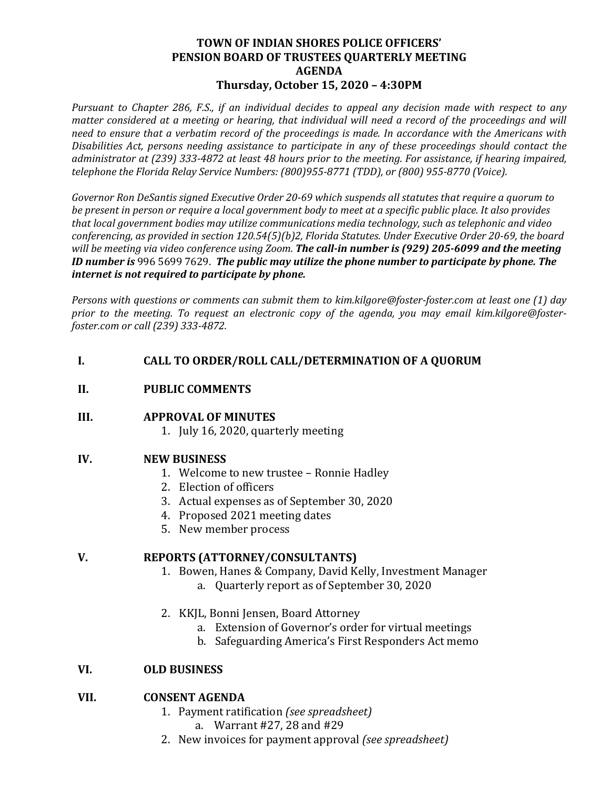### **TOWN OF INDIAN SHORES POLICE OFFICERS' PENSION BOARD OF TRUSTEES QUARTERLY MEETING AGENDA Thursday, October 15, 2020 – 4:30PM**

*Pursuant to Chapter 286, F.S., if an individual decides to appeal any decision made with respect to any matter considered at a meeting or hearing, that individual will need a record of the proceedings and will need to ensure that a verbatim record of the proceedings is made. In accordance with the Americans with Disabilities Act, persons needing assistance to participate in any of these proceedings should contact the administrator at (239) 333-4872 at least 48 hours prior to the meeting. For assistance, if hearing impaired, telephone the Florida Relay Service Numbers: (800)955-8771 (TDD), or (800) 955-8770 (Voice).*

*Governor Ron DeSantis signed Executive Order 20-69 which suspends all statutes that require a quorum to be present in person or require a local government body to meet at a specific public place. It also provides that local government bodies may utilize communications media technology, such as telephonic and video conferencing, as provided in section 120.54(5)(b)2, Florida Statutes. Under Executive Order 20-69, the board will be meeting via video conference using Zoom. The call-in number is (929) 205-6099 and the meeting ID number is* 996 5699 7629. *The public may utilize the phone number to participate by phone. The internet is not required to participate by phone.* 

*Persons with questions or comments can submit them to kim.kilgore@foster-foster.com at least one (1) day prior to the meeting. To request an electronic copy of the agenda, you may email kim.kilgore@fosterfoster.com or call (239) 333-4872.*

# **I. CALL TO ORDER/ROLL CALL/DETERMINATION OF A QUORUM**

### **II. PUBLIC COMMENTS**

#### **III. APPROVAL OF MINUTES**

1. July 16, 2020, quarterly meeting

# **IV. NEW BUSINESS**

- 1. Welcome to new trustee Ronnie Hadley
- 2. Election of officers
- 3. Actual expenses as of September 30, 2020
- 4. Proposed 2021 meeting dates
- 5. New member process

# **V. REPORTS (ATTORNEY/CONSULTANTS)**

- 1. Bowen, Hanes & Company, David Kelly, Investment Manager
	- a. Quarterly report as of September 30, 2020
- 2. KKJL, Bonni Jensen, Board Attorney
	- a. Extension of Governor's order for virtual meetings
	- b. Safeguarding America's First Responders Act memo

# **VI. OLD BUSINESS**

#### **VII. CONSENT AGENDA**

- 1. Payment ratification *(see spreadsheet)*
	- a. Warrant #27, 28 and #29
- 2. New invoices for payment approval *(see spreadsheet)*